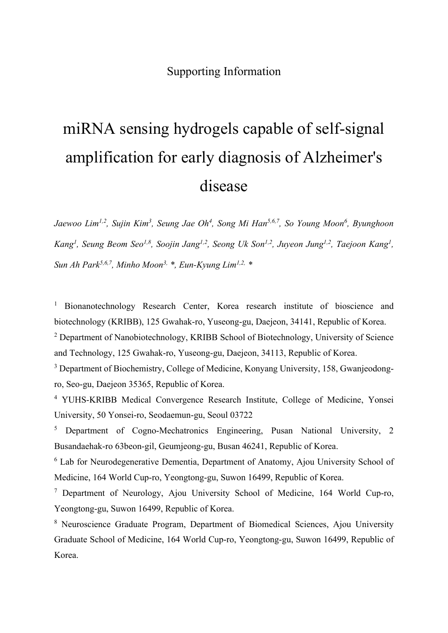# Supporting Information

# miRNA sensing hydrogels capable of self-signal amplification for early diagnosis of Alzheimer's disease

*Jaewoo Lim1,2, Sujin Kim3, Seung Jae Oh4, Song Mi Han5,6,7, So Young Moon6, Byunghoon*  Kang<sup>1</sup>, Seung Beom Seo<sup>1,8</sup>, Soojin Jang<sup>1,2</sup>, Seong Uk Son<sup>1,2</sup>, Juyeon Jung<sup>1,2</sup>, Taejoon Kang<sup>1</sup>, *Sun Ah Park5,6,7, Minho Moon3, \*, Eun-Kyung Lim1,2, \**

<sup>1</sup> Bionanotechnology Research Center, Korea research institute of bioscience and biotechnology (KRIBB), 125 Gwahak-ro, Yuseong-gu, Daejeon, 34141, Republic of Korea.

<sup>2</sup> Department of Nanobiotechnology, KRIBB School of Biotechnology, University of Science and Technology, 125 Gwahak-ro, Yuseong-gu, Daejeon, 34113, Republic of Korea.

<sup>3</sup> Department of Biochemistry, College of Medicine, Konyang University, 158, Gwanjeodongro, Seo-gu, Daejeon 35365, Republic of Korea.

<sup>4</sup> YUHS-KRIBB Medical Convergence Research Institute, College of Medicine, Yonsei University, 50 Yonsei-ro, Seodaemun-gu, Seoul 03722

<sup>5</sup> Department of Cogno-Mechatronics Engineering, Pusan National University, 2 Busandaehak-ro 63beon-gil, Geumjeong-gu, Busan 46241, Republic of Korea.

<sup>6</sup> Lab for Neurodegenerative Dementia, Department of Anatomy, Ajou University School of Medicine, 164 World Cup-ro, Yeongtong-gu, Suwon 16499, Republic of Korea.

<sup>7</sup> Department of Neurology, Ajou University School of Medicine, 164 World Cup-ro, Yeongtong-gu, Suwon 16499, Republic of Korea.

<sup>8</sup> Neuroscience Graduate Program, Department of Biomedical Sciences, Ajou University Graduate School of Medicine, 164 World Cup-ro, Yeongtong-gu, Suwon 16499, Republic of Korea.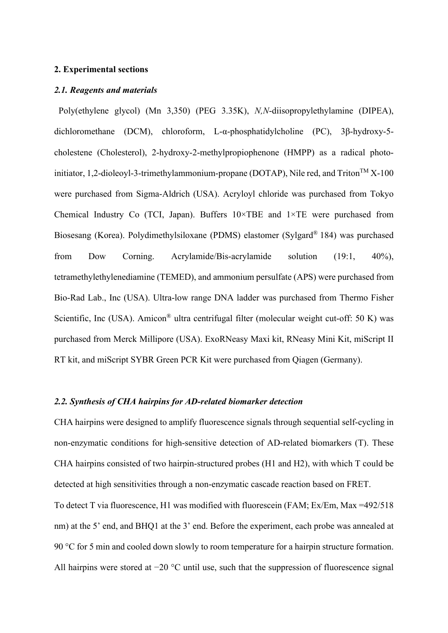#### **2. Experimental sections**

## *2.1. Reagents and materials*

Poly(ethylene glycol) (Mn 3,350) (PEG 3.35K), *N,N*-diisopropylethylamine (DIPEA), dichloromethane (DCM), chloroform, L-α-phosphatidylcholine (PC), 3β-hydroxy-5 cholestene (Cholesterol), 2-hydroxy-2-methylpropiophenone (HMPP) as a radical photoinitiator, 1,2-dioleoyl-3-trimethylammonium-propane (DOTAP), Nile red, and Triton<sup>TM</sup> X-100 were purchased from Sigma-Aldrich (USA). Acryloyl chloride was purchased from Tokyo Chemical Industry Co (TCI, Japan). Buffers 10×TBE and 1×TE were purchased from Biosesang (Korea). Polydimethylsiloxane (PDMS) elastomer (Sylgard® 184) was purchased from Dow Corning. Acrylamide/Bis-acrylamide solution (19:1, 40%), tetramethylethylenediamine (TEMED), and ammonium persulfate (APS) were purchased from Bio-Rad Lab., Inc (USA). Ultra-low range DNA ladder was purchased from Thermo Fisher Scientific, Inc (USA). Amicon<sup>®</sup> ultra centrifugal filter (molecular weight cut-off: 50 K) was purchased from Merck Millipore (USA). ExoRNeasy Maxi kit, RNeasy Mini Kit, miScript II RT kit, and miScript SYBR Green PCR Kit were purchased from Qiagen (Germany).

# *2.2. Synthesis of CHA hairpins for AD-related biomarker detection*

CHA hairpins were designed to amplify fluorescence signals through sequential self-cycling in non-enzymatic conditions for high-sensitive detection of AD-related biomarkers (T). These CHA hairpins consisted of two hairpin-structured probes (H1 and H2), with which T could be detected at high sensitivities through a non-enzymatic cascade reaction based on FRET. To detect T via fluorescence, H1 was modified with fluorescein (FAM; Ex/Em, Max =492/518 nm) at the 5' end, and BHQ1 at the 3' end. Before the experiment, each probe was annealed at

All hairpins were stored at −20 °C until use, such that the suppression of fluorescence signal

90 °C for 5 min and cooled down slowly to room temperature for a hairpin structure formation.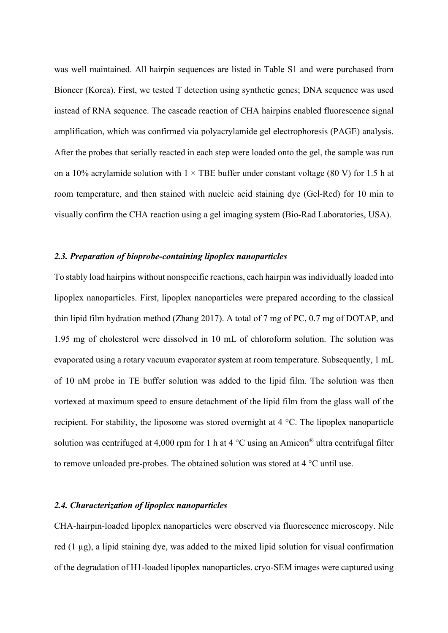was well maintained. All hairpin sequences are listed in Table S1 and were purchased from Bioneer (Korea). First, we tested T detection using synthetic genes; DNA sequence was used instead of RNA sequence. The cascade reaction of CHA hairpins enabled fluorescence signal amplification, which was confirmed via polyacrylamide gel electrophoresis (PAGE) analysis. After the probes that serially reacted in each step were loaded onto the gel, the sample was run on a 10% acrylamide solution with  $1 \times$  TBE buffer under constant voltage (80 V) for 1.5 h at room temperature, and then stained with nucleic acid staining dye (Gel-Red) for 10 min to visually confirm the CHA reaction using a gel imaging system (Bio-Rad Laboratories, USA).

#### *2.3. Preparation of bioprobe-containing lipoplex nanoparticles*

To stably load hairpins without nonspecific reactions, each hairpin was individually loaded into lipoplex nanoparticles. First, lipoplex nanoparticles were prepared according to the classical thin lipid film hydration method (Zhang 2017). A total of 7 mg of PC, 0.7 mg of DOTAP, and 1.95 mg of cholesterol were dissolved in 10 mL of chloroform solution. The solution was evaporated using a rotary vacuum evaporator system at room temperature. Subsequently, 1 mL of 10 nM probe in TE buffer solution was added to the lipid film. The solution was then vortexed at maximum speed to ensure detachment of the lipid film from the glass wall of the recipient. For stability, the liposome was stored overnight at 4 °C. The lipoplex nanoparticle solution was centrifuged at 4,000 rpm for 1 h at 4  $^{\circ}$ C using an Amicon<sup>®</sup> ultra centrifugal filter to remove unloaded pre-probes. The obtained solution was stored at 4 °C until use.

#### *2.4. Characterization of lipoplex nanoparticles*

CHA-hairpin-loaded lipoplex nanoparticles were observed via fluorescence microscopy. Nile red (1 µg), a lipid staining dye, was added to the mixed lipid solution for visual confirmation of the degradation of H1-loaded lipoplex nanoparticles. cryo-SEM images were captured using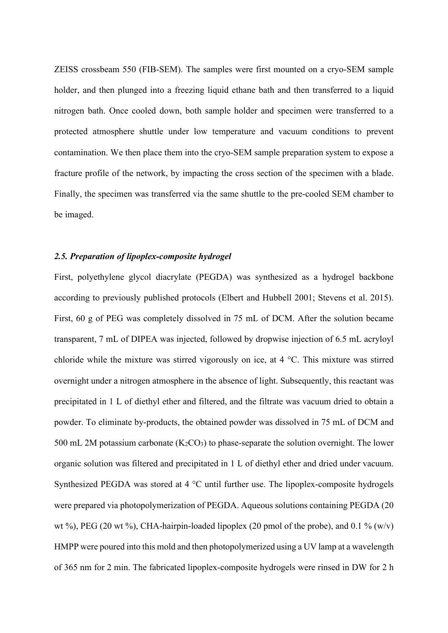ZEISS crossbeam 550 (FIB-SEM). The samples were first mounted on a cryo-SEM sample holder, and then plunged into a freezing liquid ethane bath and then transferred to a liquid nitrogen bath. Once cooled down, both sample holder and specimen were transferred to a protected atmosphere shuttle under low temperature and vacuum conditions to prevent contamination. We then place them into the cryo-SEM sample preparation system to expose a fracture profile of the network, by impacting the cross section of the specimen with a blade. Finally, the specimen was transferred via the same shuttle to the pre-cooled SEM chamber to be imaged.

#### *2.5. Preparation of lipoplex-composite hydrogel*

First, polyethylene glycol diacrylate (PEGDA) was synthesized as a hydrogel backbone according to previously published protocols (Elbert and Hubbell 2001; Stevens et al. 2015). First, 60 g of PEG was completely dissolved in 75 mL of DCM. After the solution became transparent, 7 mL of DIPEA was injected, followed by dropwise injection of 6.5 mL acryloyl chloride while the mixture was stirred vigorously on ice, at 4 °C. This mixture was stirred overnight under a nitrogen atmosphere in the absence of light. Subsequently, this reactant was precipitated in 1 L of diethyl ether and filtered, and the filtrate was vacuum dried to obtain a powder. To eliminate by-products, the obtained powder was dissolved in 75 mL of DCM and 500 mL 2M potassium carbonate  $(K_2CO_3)$  to phase-separate the solution overnight. The lower organic solution was filtered and precipitated in 1 L of diethyl ether and dried under vacuum. Synthesized PEGDA was stored at 4 °C until further use. The lipoplex-composite hydrogels were prepared via photopolymerization of PEGDA. Aqueous solutions containing PEGDA (20 wt %), PEG (20 wt %), CHA-hairpin-loaded lipoplex (20 pmol of the probe), and 0.1 % (w/v) HMPP were poured into this mold and then photopolymerized using a UV lamp at a wavelength of 365 nm for 2 min. The fabricated lipoplex-composite hydrogels were rinsed in DW for 2 h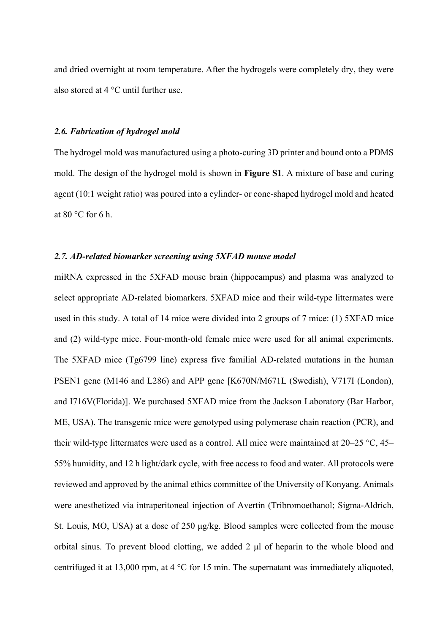and dried overnight at room temperature. After the hydrogels were completely dry, they were also stored at 4 °C until further use.

## *2.6. Fabrication of hydrogel mold*

The hydrogel mold was manufactured using a photo-curing 3D printer and bound onto a PDMS mold. The design of the hydrogel mold is shown in **Figure S1**. A mixture of base and curing agent (10:1 weight ratio) was poured into a cylinder- or cone-shaped hydrogel mold and heated at 80 °C for 6 h.

#### *2.7. AD-related biomarker screening using 5XFAD mouse model*

miRNA expressed in the 5XFAD mouse brain (hippocampus) and plasma was analyzed to select appropriate AD-related biomarkers. 5XFAD mice and their wild-type littermates were used in this study. A total of 14 mice were divided into 2 groups of 7 mice: (1) 5XFAD mice and (2) wild-type mice. Four-month-old female mice were used for all animal experiments. The 5XFAD mice (Tg6799 line) express five familial AD-related mutations in the human PSEN1 gene (M146 and L286) and APP gene [K670N/M671L (Swedish), V717I (London), and I716V(Florida)]. We purchased 5XFAD mice from the Jackson Laboratory (Bar Harbor, ME, USA). The transgenic mice were genotyped using polymerase chain reaction (PCR), and their wild-type littermates were used as a control. All mice were maintained at 20–25 °C, 45– 55% humidity, and 12 h light/dark cycle, with free access to food and water. All protocols were reviewed and approved by the animal ethics committee of the University of Konyang. Animals were anesthetized via intraperitoneal injection of Avertin (Tribromoethanol; Sigma-Aldrich, St. Louis, MO, USA) at a dose of 250 μg/kg. Blood samples were collected from the mouse orbital sinus. To prevent blood clotting, we added 2 μl of heparin to the whole blood and centrifuged it at 13,000 rpm, at 4 °C for 15 min. The supernatant was immediately aliquoted,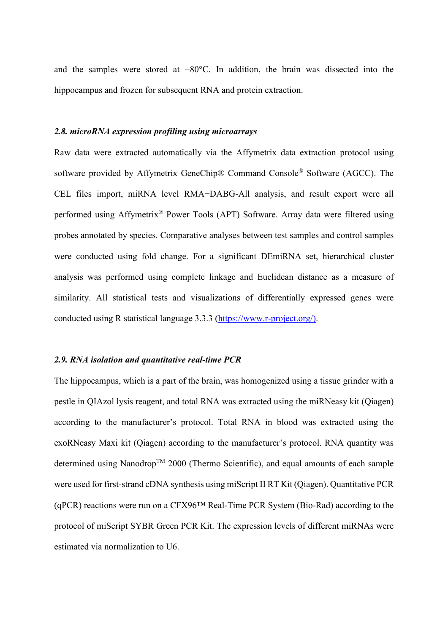and the samples were stored at −80°C. In addition, the brain was dissected into the hippocampus and frozen for subsequent RNA and protein extraction.

## *2.8. microRNA expression profiling using microarrays*

Raw data were extracted automatically via the Affymetrix data extraction protocol using software provided by Affymetrix GeneChip® Command Console® Software (AGCC). The CEL files import, miRNA level RMA+DABG-All analysis, and result export were all performed using Affymetrix® Power Tools (APT) Software. Array data were filtered using probes annotated by species. Comparative analyses between test samples and control samples were conducted using fold change. For a significant DEmiRNA set, hierarchical cluster analysis was performed using complete linkage and Euclidean distance as a measure of similarity. All statistical tests and visualizations of differentially expressed genes were conducted using R statistical language 3.3.3 (https://www.r-project.org/).

# *2.9. RNA isolation and quantitative real-time PCR*

The hippocampus, which is a part of the brain, was homogenized using a tissue grinder with a pestle in QIAzol lysis reagent, and total RNA was extracted using the miRNeasy kit (Qiagen) according to the manufacturer's protocol. Total RNA in blood was extracted using the exoRNeasy Maxi kit (Qiagen) according to the manufacturer's protocol. RNA quantity was determined using Nanodrop<sup>TM</sup> 2000 (Thermo Scientific), and equal amounts of each sample were used for first-strand cDNA synthesis using miScript II RT Kit (Qiagen). Quantitative PCR (qPCR) reactions were run on a CFX96™ Real-Time PCR System (Bio-Rad) according to the protocol of miScript SYBR Green PCR Kit. The expression levels of different miRNAs were estimated via normalization to U6.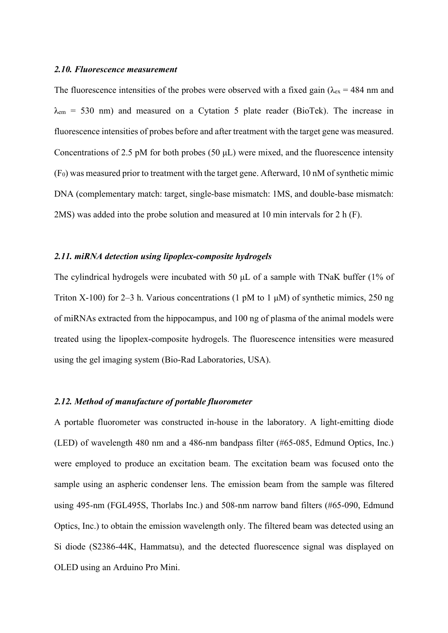#### *2.10. Fluorescence measurement*

The fluorescence intensities of the probes were observed with a fixed gain ( $\lambda_{ex}$  = 484 nm and  $\lambda_{\text{em}}$  = 530 nm) and measured on a Cytation 5 plate reader (BioTek). The increase in fluorescence intensities of probes before and after treatment with the target gene was measured. Concentrations of 2.5 pM for both probes (50 μL) were mixed, and the fluorescence intensity (F0) was measured prior to treatment with the target gene. Afterward, 10 nM of synthetic mimic DNA (complementary match: target, single-base mismatch: 1MS, and double-base mismatch: 2MS) was added into the probe solution and measured at 10 min intervals for 2 h (F).

#### *2.11. miRNA detection using lipoplex-composite hydrogels*

The cylindrical hydrogels were incubated with 50 μL of a sample with TNaK buffer (1% of Triton X-100) for 2–3 h. Various concentrations (1 pM to 1  $\mu$ M) of synthetic mimics, 250 ng of miRNAs extracted from the hippocampus, and 100 ng of plasma of the animal models were treated using the lipoplex-composite hydrogels. The fluorescence intensities were measured using the gel imaging system (Bio-Rad Laboratories, USA).

#### *2.12. Method of manufacture of portable fluorometer*

A portable fluorometer was constructed in-house in the laboratory. A light-emitting diode (LED) of wavelength 480 nm and a 486-nm bandpass filter (#65-085, Edmund Optics, Inc.) were employed to produce an excitation beam. The excitation beam was focused onto the sample using an aspheric condenser lens. The emission beam from the sample was filtered using 495-nm (FGL495S, Thorlabs Inc.) and 508-nm narrow band filters (#65-090, Edmund Optics, Inc.) to obtain the emission wavelength only. The filtered beam was detected using an Si diode (S2386-44K, Hammatsu), and the detected fluorescence signal was displayed on OLED using an Arduino Pro Mini.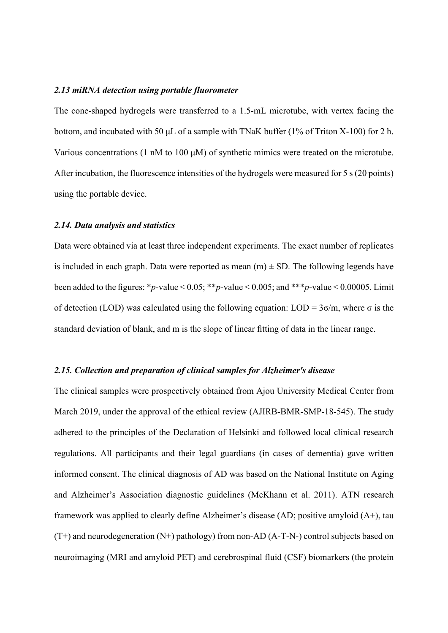#### *2.13 miRNA detection using portable fluorometer*

The cone-shaped hydrogels were transferred to a 1.5-mL microtube, with vertex facing the bottom, and incubated with 50 μL of a sample with TNaK buffer (1% of Triton X-100) for 2 h. Various concentrations (1 nM to 100  $\mu$ M) of synthetic mimics were treated on the microtube. After incubation, the fluorescence intensities of the hydrogels were measured for 5 s (20 points) using the portable device.

#### *2.14. Data analysis and statistics*

Data were obtained via at least three independent experiments. The exact number of replicates is included in each graph. Data were reported as mean  $(m) \pm SD$ . The following legends have been added to the figures: \*p-value <  $0.05$ ; \*\*p-value <  $0.005$ ; and \*\*\*p-value <  $0.00005$ . Limit of detection (LOD) was calculated using the following equation: LOD = 3σ/m, where σ is the standard deviation of blank, and m is the slope of linear fitting of data in the linear range.

#### *2.15. Collection and preparation of clinical samples for Alzheimer's disease*

The clinical samples were prospectively obtained from Ajou University Medical Center from March 2019, under the approval of the ethical review (AJIRB-BMR-SMP-18-545). The study adhered to the principles of the Declaration of Helsinki and followed local clinical research regulations. All participants and their legal guardians (in cases of dementia) gave written informed consent. The clinical diagnosis of AD was based on the National Institute on Aging and Alzheimer's Association diagnostic guidelines (McKhann et al. 2011). ATN research framework was applied to clearly define Alzheimer's disease (AD; positive amyloid (A+), tau  $(T+)$  and neurodegeneration  $(N+)$  pathology) from non-AD  $(A-T-N-)$  control subjects based on neuroimaging (MRI and amyloid PET) and cerebrospinal fluid (CSF) biomarkers (the protein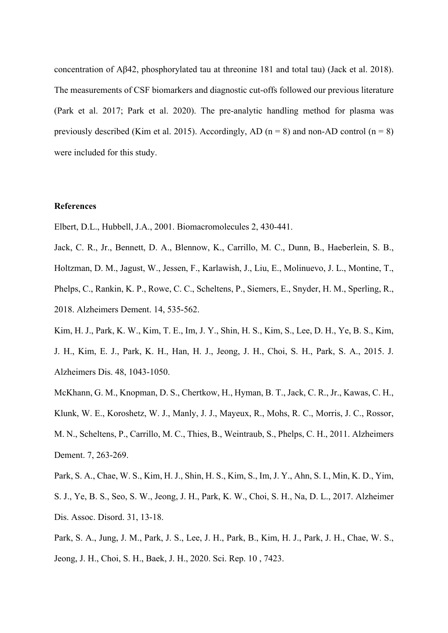concentration of Aβ42, phosphorylated tau at threonine 181 and total tau) (Jack et al. 2018). The measurements of CSF biomarkers and diagnostic cut-offs followed our previous literature (Park et al. 2017; Park et al. 2020). The pre-analytic handling method for plasma was previously described (Kim et al. 2015). Accordingly, AD ( $n = 8$ ) and non-AD control ( $n = 8$ ) were included for this study.

#### **References**

Elbert, D.L., Hubbell, J.A., 2001. Biomacromolecules 2, 430-441.

Jack, C. R., Jr., Bennett, D. A., Blennow, K., Carrillo, M. C., Dunn, B., Haeberlein, S. B.,

Holtzman, D. M., Jagust, W., Jessen, F., Karlawish, J., Liu, E., Molinuevo, J. L., Montine, T.,

Phelps, C., Rankin, K. P., Rowe, C. C., Scheltens, P., Siemers, E., Snyder, H. M., Sperling, R., 2018. Alzheimers Dement. 14, 535-562.

Kim, H. J., Park, K. W., Kim, T. E., Im, J. Y., Shin, H. S., Kim, S., Lee, D. H., Ye, B. S., Kim, J. H., Kim, E. J., Park, K. H., Han, H. J., Jeong, J. H., Choi, S. H., Park, S. A., 2015. J. Alzheimers Dis. 48, 1043-1050.

McKhann, G. M., Knopman, D. S., Chertkow, H., Hyman, B. T., Jack, C. R., Jr., Kawas, C. H., Klunk, W. E., Koroshetz, W. J., Manly, J. J., Mayeux, R., Mohs, R. C., Morris, J. C., Rossor, M. N., Scheltens, P., Carrillo, M. C., Thies, B., Weintraub, S., Phelps, C. H., 2011. Alzheimers Dement. 7, 263-269.

Park, S. A., Chae, W. S., Kim, H. J., Shin, H. S., Kim, S., Im, J. Y., Ahn, S. I., Min, K. D., Yim, S. J., Ye, B. S., Seo, S. W., Jeong, J. H., Park, K. W., Choi, S. H., Na, D. L., 2017. Alzheimer Dis. Assoc. Disord. 31, 13-18.

Park, S. A., Jung, J. M., Park, J. S., Lee, J. H., Park, B., Kim, H. J., Park, J. H., Chae, W. S., Jeong, J. H., Choi, S. H., Baek, J. H., 2020. Sci. Rep. 10 , 7423.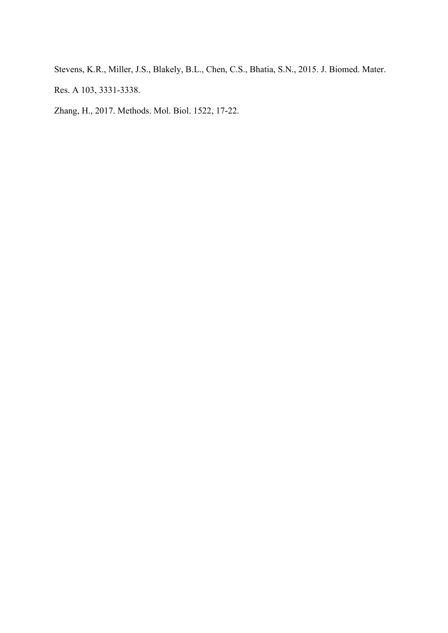Stevens, K.R., Miller, J.S., Blakely, B.L., Chen, C.S., Bhatia, S.N., 2015. J. Biomed. Mater.

Res. A 103, 3331-3338.

Zhang, H., 2017. Methods. Mol. Biol. 1522, 17-22.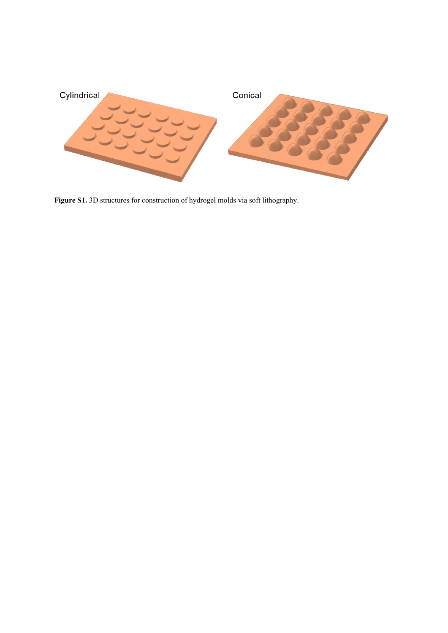

**Figure S1.** 3D structures for construction of hydrogel molds via soft lithography.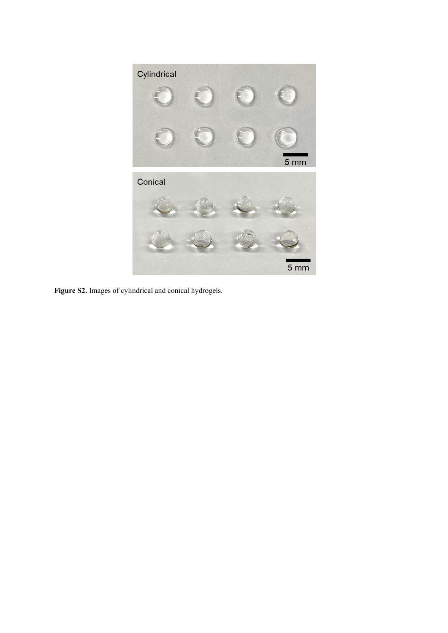

**Figure S2.** Images of cylindrical and conical hydrogels.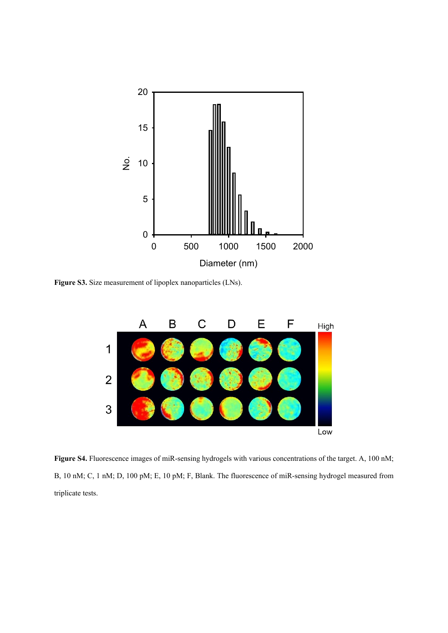

**Figure S3.** Size measurement of lipoplex nanoparticles (LNs).



**Figure S4.** Fluorescence images of miR-sensing hydrogels with various concentrations of the target. A, 100 nM; B, 10 nM; C, 1 nM; D, 100 pM; E, 10 pM; F, Blank. The fluorescence of miR-sensing hydrogel measured from triplicate tests.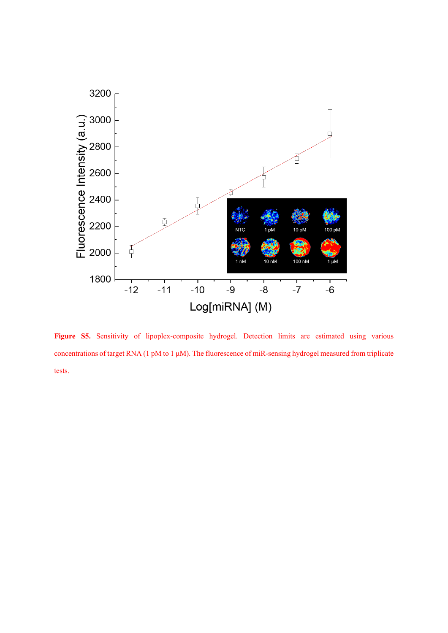

Figure S5. Sensitivity of lipoplex-composite hydrogel. Detection limits are estimated using various concentrations of target RNA (1 pM to 1 μM). The fluorescence of miR-sensing hydrogel measured from triplicate tests.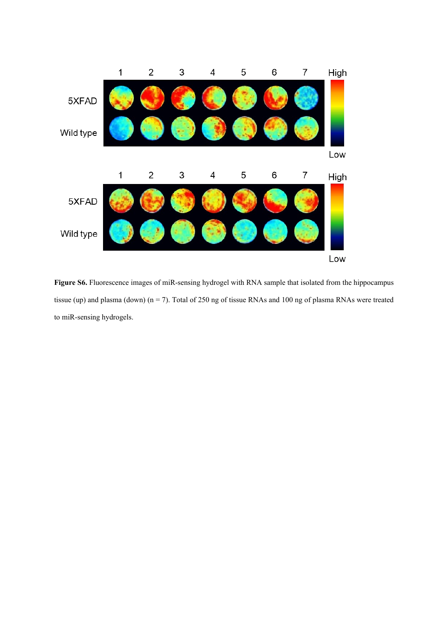

**Figure S6.** Fluorescence images of miR-sensing hydrogel with RNA sample that isolated from the hippocampus tissue (up) and plasma (down) ( $n = 7$ ). Total of 250 ng of tissue RNAs and 100 ng of plasma RNAs were treated to miR-sensing hydrogels.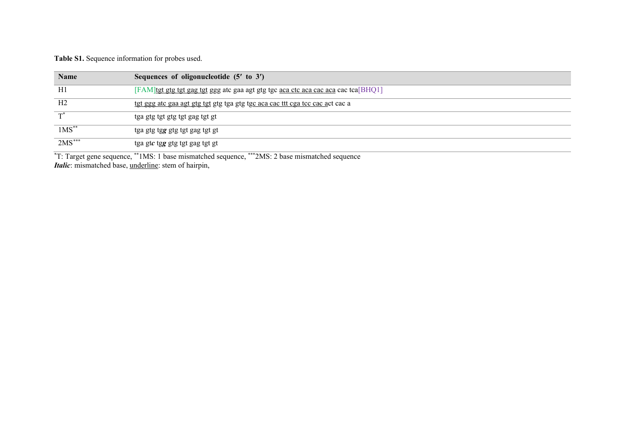**Table S1.** Sequence information for probes used.

| <b>Name</b>    | Sequences of oligonucleotide (5' to 3')                                            |
|----------------|------------------------------------------------------------------------------------|
| H1             | [FAM]tgt gtg tgt gag tgt ggg atc gaa agt gtg tgc aca ctc aca cac aca cac tca[BHQ1] |
| H <sub>2</sub> | tgt ggg atc gaa agt gtg tgt gtg tga gtg tgc aca cac ttt cga tcc cac act cac a      |
|                | tga gtg tgt gtg tgt gag tgt gt                                                     |
| $1MS$ **       | tga gtg tgg gtg tgt gag tgt gt                                                     |
| $2MS***$       | tga gtc tgg gtg tgt gag tgt gt                                                     |
|                |                                                                                    |

\* T: Target gene sequence, \*\*1MS: 1 base mismatched sequence, \*\*\*2MS: 2 base mismatched sequence *Italic*: mismatched base, underline: stem of hairpin,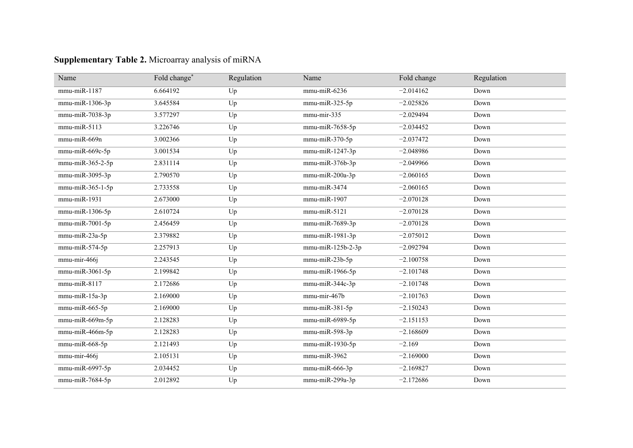| Name                | Fold change* | Regulation | Name               | Fold change | Regulation |
|---------------------|--------------|------------|--------------------|-------------|------------|
| $mmu$ -mi $R-1187$  | 6.664192     | Up         | mmu-miR-6236       | $-2.014162$ | Down       |
| mmu-miR-1306-3p     | 3.645584     | Up         | $mmu$ -miR-325-5p  | $-2.025826$ | Down       |
| mmu-miR-7038-3p     | 3.577297     | Up         | $mmu-mir-335$      | $-2.029494$ | Down       |
| mmu-miR-5113        | 3.226746     | Up         | mmu-miR-7658-5p    | $-2.034452$ | Down       |
| mmu-miR-669n        | 3.002366     | Up         | mmu-miR-370-5p     | $-2.037472$ | Down       |
| mmu-miR-669c-5p     | 3.001534     | Up         | mmu-miR-1247-3p    | $-2.048986$ | Down       |
| $mmu$ -miR-365-2-5p | 2.831114     | Up         | $mmu$ -miR-376b-3p | $-2.049966$ | Down       |
| $mmu$ -miR-3095-3p  | 2.790570     | Up         | $mmu$ -miR-200a-3p | $-2.060165$ | Down       |
| mmu-miR-365-1-5p    | 2.733558     | Up         | mmu-miR-3474       | $-2.060165$ | Down       |
| $mmu$ -mi $R-1931$  | 2.673000     | Up         | mmu-miR-1907       | $-2.070128$ | Down       |
| mmu-miR-1306-5p     | 2.610724     | Up         | mmu-miR-5121       | $-2.070128$ | Down       |
| mmu-miR-7001-5p     | 2.456459     | Up         | mmu-miR-7689-3p    | $-2.070128$ | Down       |
| mmu-miR-23a-5p      | 2.379882     | Up         | mmu-miR-1981-3p    | $-2.075012$ | Down       |
| mmu-miR-574-5p      | 2.257913     | Up         | mmu-miR-125b-2-3p  | $-2.092794$ | Down       |
| mmu-mir-466j        | 2.243545     | Up         | mmu-miR-23b-5p     | $-2.100758$ | Down       |
| mmu-miR-3061-5p     | 2.199842     | Up         | mmu-miR-1966-5p    | $-2.101748$ | Down       |
| $mmu$ -mi $R-8117$  | 2.172686     | Up         | mmu-miR-344c-3p    | $-2.101748$ | Down       |
| mmu-miR-15a-3p      | 2.169000     | Up         | mmu-mir-467b       | $-2.101763$ | Down       |
| mmu-miR-665-5p      | 2.169000     | Up         | mmu-miR-381-5p     | $-2.150243$ | Down       |
| mmu-miR-669m-5p     | 2.128283     | Up         | mmu-miR-6989-5p    | $-2.151153$ | Down       |
| mmu-miR-466m-5p     | 2.128283     | Up         | mmu-miR-598-3p     | $-2.168609$ | Down       |
| mmu-miR-668-5p      | 2.121493     | Up         | mmu-miR-1930-5p    | $-2.169$    | Down       |
| mmu-mir-466j        | 2.105131     | Up         | $mmu$ -miR-3962    | $-2.169000$ | Down       |
| mmu-miR-6997-5p     | 2.034452     | Up         | mmu-miR-666-3p     | $-2.169827$ | Down       |
| mmu-miR-7684-5p     | 2.012892     | Up         | mmu-miR-299a-3p    | $-2.172686$ | Down       |

# **Supplementary Table 2.** Microarray analysis of miRNA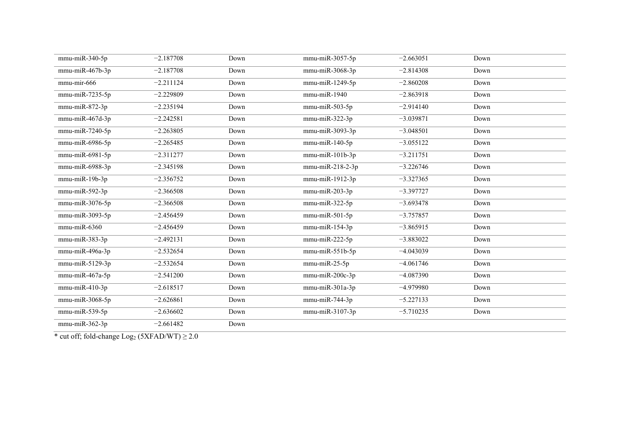| mmu-miR-340-5p                      | $-2.187708$ | Down | mmu-miR-3057-5p                     | $-2.663051$ | Down |  |
|-------------------------------------|-------------|------|-------------------------------------|-------------|------|--|
| mmu-miR-467b-3p                     | $-2.187708$ | Down | mmu-miR-3068-3p                     | $-2.814308$ | Down |  |
| mmu-mir-666                         | $-2.211124$ | Down | mmu-miR-1249-5p                     | $-2.860208$ | Down |  |
| mmu-miR-7235-5p                     | $-2.229809$ | Down | $mmu$ -mi $R-1940$                  | $-2.863918$ | Down |  |
| mmu-miR-872-3p                      | $-2.235194$ | Down | $mmu$ -mi $R-503-5p$                | $-2.914140$ | Down |  |
| mmu-miR-467d-3p                     | $-2.242581$ | Down | $mmu$ -mi $R-322-3p$                | $-3.039871$ | Down |  |
| mmu-miR-7240-5p                     | $-2.263805$ | Down | mmu-miR-3093-3p                     | $-3.048501$ | Down |  |
| $mmu$ -mi $R$ -6986-5p              | $-2.265485$ | Down | mmu-miR-140-5p                      | $-3.055122$ | Down |  |
| mmu-miR-6981-5p                     | $-2.311277$ | Down | mmu-miR-101b-3p                     | $-3.211751$ | Down |  |
| mmu-miR-6988-3p                     | $-2.345198$ | Down | mmu-miR-218-2-3p                    | $-3.226746$ | Down |  |
| mmu-miR-19b-3p                      | $-2.356752$ | Down | mmu-miR-1912-3p                     | $-3.327365$ | Down |  |
| $\overline{\text{mmu}}$ -miR-592-3p | $-2.366508$ | Down | mmu-miR-203-3p                      | $-3.397727$ | Down |  |
| mmu-miR-3076-5p                     | $-2.366508$ | Down | $mmu$ -mi $R-322-5p$                | $-3.693478$ | Down |  |
| mmu-miR-3093-5p                     | $-2.456459$ | Down | $mmu$ -mi $R-501-5p$                | $-3.757857$ | Down |  |
| mmu-miR-6360                        | $-2.456459$ | Down | mmu-miR-154-3p                      | $-3.865915$ | Down |  |
| mmu-miR-383-3p                      | $-2.492131$ | Down | $\overline{\text{mmu}}$ -miR-222-5p | $-3.883022$ | Down |  |
| mmu-miR-496a-3p                     | $-2.532654$ | Down | $mmu$ -mi $R-551b-5p$               | $-4.043039$ | Down |  |
| mmu-miR-5129-3p                     | $-2.532654$ | Down | $mmu$ -miR-25-5p                    | $-4.061746$ | Down |  |
| mmu-miR-467a-5p                     | $-2.541200$ | Down | mmu-miR-200c-3p                     | $-4.087390$ | Down |  |
| $\overline{\text{mmu}}$ -miR-410-3p | $-2.618517$ | Down | mmu-miR-301a-3p                     | $-4.979980$ | Down |  |
| mmu-miR-3068-5p                     | $-2.626861$ | Down | $mmu$ -mi $R-744-3p$                | $-5.227133$ | Down |  |
| mmu-miR-539-5p                      | $-2.636602$ | Down | mmu-miR-3107-3p                     | $-5.710235$ | Down |  |
| mmu-miR-362-3p                      | $-2.661482$ | Down |                                     |             |      |  |

\* cut off; fold-change  $Log_2$  (5XFAD/WT)  $\geq$  2.0